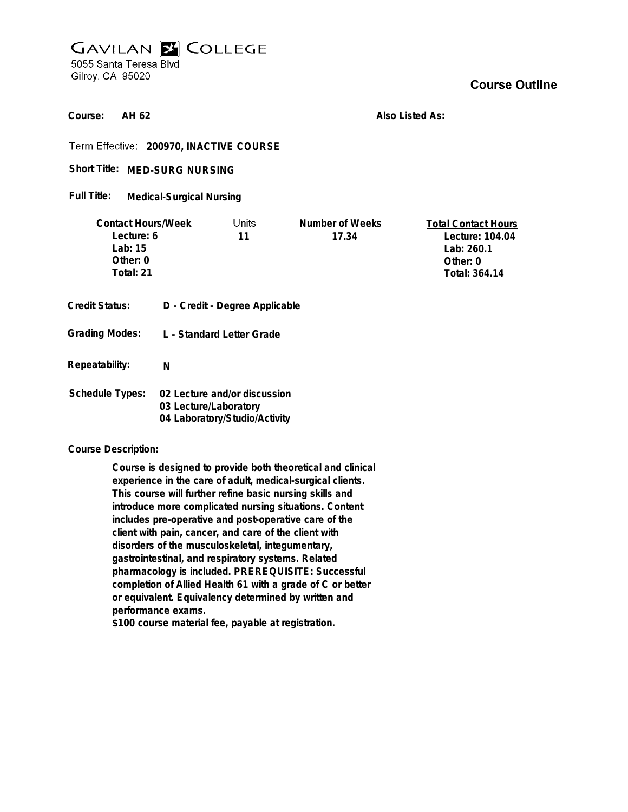## **GAVILAN E COLLEGE** 5055 Santa Teresa Blvd Gilroy, CA 95020

**AH 62 Course:**

**Also Listed As:**

**200970, INACTIVE COURSE**

Short Title: MED-SURG NURSING

**Medical-Surgical Nursing Full Title:**

| <b>Contact Hours/Week</b> |                                                        | Units | Number of Weeks | <b>Total Contact Hours</b> |
|---------------------------|--------------------------------------------------------|-------|-----------------|----------------------------|
| Lecture: 6                |                                                        | 11    | 17.34           | Lecture: 104.04            |
| Lab: $15$                 |                                                        |       |                 | Lab: 260.1                 |
| Other: 0                  |                                                        |       |                 | Other: $0$                 |
| Total: 21                 |                                                        |       |                 | Total: 364.14              |
|                           |                                                        |       |                 |                            |
| <b>Credit Status:</b>     | D - Credit - Degree Applicable                         |       |                 |                            |
|                           |                                                        |       |                 |                            |
| <b>Grading Modes:</b>     | L - Standard Letter Grade                              |       |                 |                            |
|                           |                                                        |       |                 |                            |
|                           |                                                        |       |                 |                            |
| Repeatability:            | N                                                      |       |                 |                            |
|                           |                                                        |       |                 |                            |
| <b>Schedule Types:</b>    | 02 Lecture and/or discussion                           |       |                 |                            |
|                           | 03 Lecture/Laboratory<br>04 Laboratory/Studio/Activity |       |                 |                            |
|                           |                                                        |       |                 |                            |

**Course Description:**

**Course is designed to provide both theoretical and clinical experience in the care of adult, medical-surgical clients. This course will further refine basic nursing skills and introduce more complicated nursing situations. Content includes pre-operative and post-operative care of the client with pain, cancer, and care of the client with disorders of the musculoskeletal, integumentary, gastrointestinal, and respiratory systems. Related pharmacology is included. PREREQUISITE: Successful completion of Allied Health 61 with a grade of C or better or equivalent. Equivalency determined by written and performance exams.**

**\$100 course material fee, payable at registration.**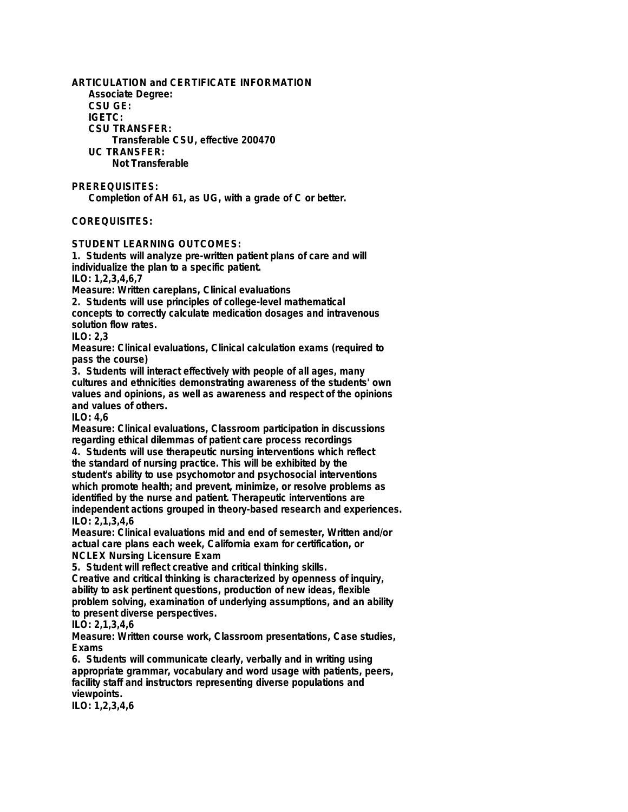**ARTICULATION and CERTIFICATE INFORMATION Associate Degree: CSU GE: IGETC: CSU TRANSFER: Transferable CSU, effective 200470 UC TRANSFER: Not Transferable PREREQUISITES:**

**Completion of AH 61, as UG, with a grade of C or better.**

## **COREQUISITES:**

**STUDENT LEARNING OUTCOMES:**

**1. Students will analyze pre-written patient plans of care and will individualize the plan to a specific patient. ILO: 1,2,3,4,6,7**

**Measure: Written careplans, Clinical evaluations**

**2. Students will use principles of college-level mathematical**

**concepts to correctly calculate medication dosages and intravenous solution flow rates.**

**ILO: 2,3**

**Measure: Clinical evaluations, Clinical calculation exams (required to pass the course)**

**3. Students will interact effectively with people of all ages, many cultures and ethnicities demonstrating awareness of the students' own values and opinions, as well as awareness and respect of the opinions and values of others.**

**ILO: 4,6**

**Measure: Clinical evaluations, Classroom participation in discussions regarding ethical dilemmas of patient care process recordings 4. Students will use therapeutic nursing interventions which reflect the standard of nursing practice. This will be exhibited by the student's ability to use psychomotor and psychosocial interventions**

**which promote health; and prevent, minimize, or resolve problems as identified by the nurse and patient. Therapeutic interventions are independent actions grouped in theory-based research and experiences.**

**ILO: 2,1,3,4,6**

**Measure: Clinical evaluations mid and end of semester, Written and/or actual care plans each week, California exam for certification, or NCLEX Nursing Licensure Exam**

**5. Student will reflect creative and critical thinking skills.**

**Creative and critical thinking is characterized by openness of inquiry, ability to ask pertinent questions, production of new ideas, flexible problem solving, examination of underlying assumptions, and an ability to present diverse perspectives.**

## **ILO: 2,1,3,4,6**

**Measure: Written course work, Classroom presentations, Case studies, Exams**

**6. Students will communicate clearly, verbally and in writing using appropriate grammar, vocabulary and word usage with patients, peers, facility staff and instructors representing diverse populations and viewpoints.**

**ILO: 1,2,3,4,6**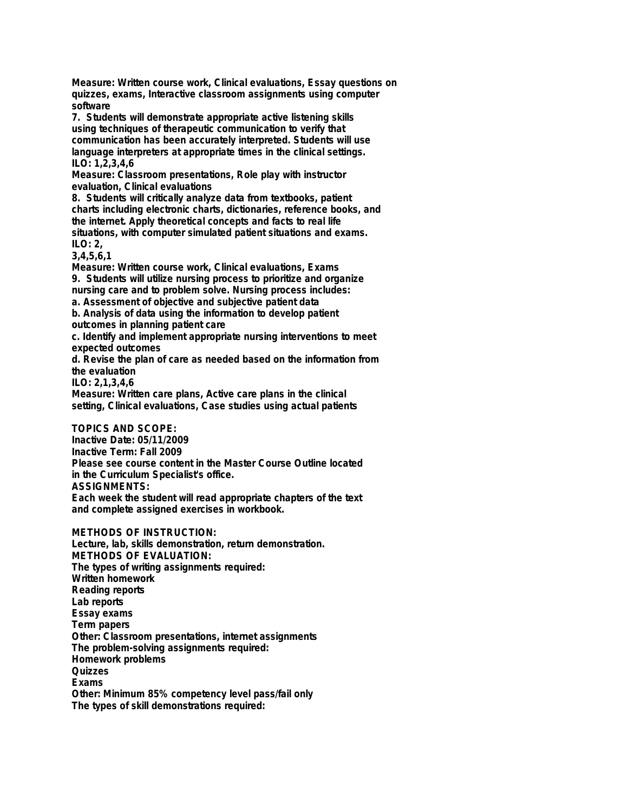**Measure: Written course work, Clinical evaluations, Essay questions on quizzes, exams, Interactive classroom assignments using computer software**

**7. Students will demonstrate appropriate active listening skills using techniques of therapeutic communication to verify that communication has been accurately interpreted. Students will use language interpreters at appropriate times in the clinical settings. ILO: 1,2,3,4,6**

**Measure: Classroom presentations, Role play with instructor evaluation, Clinical evaluations**

**8. Students will critically analyze data from textbooks, patient charts including electronic charts, dictionaries, reference books, and the internet. Apply theoretical concepts and facts to real life situations, with computer simulated patient situations and exams. ILO: 2,**

**3,4,5,6,1**

**Measure: Written course work, Clinical evaluations, Exams**

**9. Students will utilize nursing process to prioritize and organize nursing care and to problem solve. Nursing process includes: a. Assessment of objective and subjective patient data**

**b. Analysis of data using the information to develop patient outcomes in planning patient care**

**c. Identify and implement appropriate nursing interventions to meet expected outcomes**

**d. Revise the plan of care as needed based on the information from the evaluation**

**ILO: 2,1,3,4,6**

**Measure: Written care plans, Active care plans in the clinical setting, Clinical evaluations, Case studies using actual patients**

**TOPICS AND SCOPE:**

**Inactive Date: 05/11/2009 Inactive Term: Fall 2009 Please see course content in the Master Course Outline located in the Curriculum Specialist's office. ASSIGNMENTS: Each week the student will read appropriate chapters of the text and complete assigned exercises in workbook.**

**METHODS OF INSTRUCTION:**

**Lecture, lab, skills demonstration, return demonstration. METHODS OF EVALUATION: The types of writing assignments required: Written homework Reading reports Lab reports Essay exams Term papers Other: Classroom presentations, internet assignments The problem-solving assignments required: Homework problems Quizzes Exams Other: Minimum 85% competency level pass/fail only The types of skill demonstrations required:**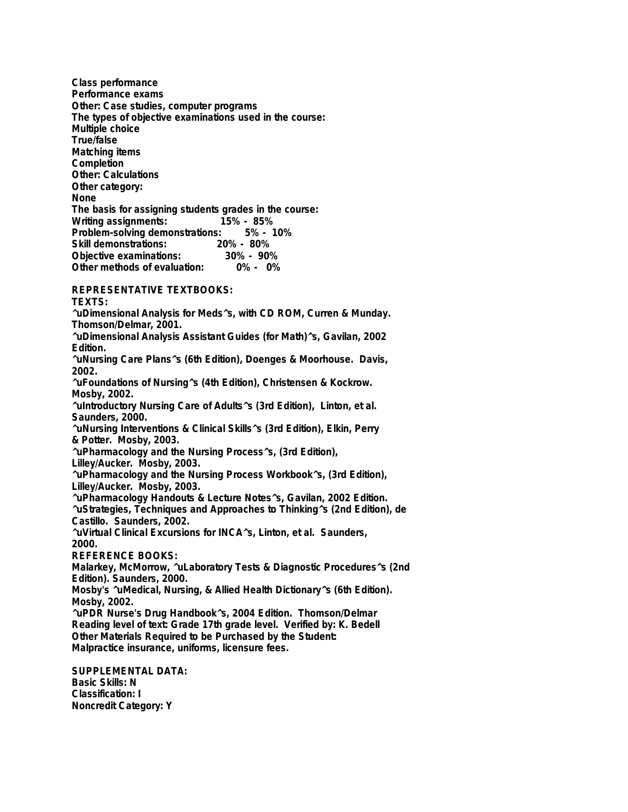**Class performance Performance exams Other: Case studies, computer programs The types of objective examinations used in the course: Multiple choice True/false Matching items Completion Other: Calculations Other category: None The basis for assigning students grades in the course: Writing assignments: 15% - 85% Problem-solving demonstrations: Skill demonstrations: 20% - 80% Objective examinations: 30% - 90% Other methods of evaluation:** 

**REPRESENTATIVE TEXTBOOKS:**

**TEXTS:**

**^uDimensional Analysis for Meds^s, with CD ROM, Curren & Munday. Thomson/Delmar, 2001. ^uDimensional Analysis Assistant Guides (for Math)^s, Gavilan, 2002 Edition.**

**^uNursing Care Plans^s (6th Edition), Doenges & Moorhouse. Davis, 2002.**

**^uFoundations of Nursing^s (4th Edition), Christensen & Kockrow. Mosby, 2002.**

**^uIntroductory Nursing Care of Adults^s (3rd Edition), Linton, et al. Saunders, 2000.**

**^uNursing Interventions & Clinical Skills^s (3rd Edition), Elkin, Perry & Potter. Mosby, 2003.**

**^uPharmacology and the Nursing Process^s, (3rd Edition),**

**Lilley/Aucker. Mosby, 2003.**

**^uPharmacology and the Nursing Process Workbook^s, (3rd Edition), Lilley/Aucker. Mosby, 2003.**

**^uPharmacology Handouts & Lecture Notes^s, Gavilan, 2002 Edition.**

**^uStrategies, Techniques and Approaches to Thinking^s (2nd Edition), de Castillo. Saunders, 2002.**

**^uVirtual Clinical Excursions for INCA^s, Linton, et al. Saunders, 2000.**

**REFERENCE BOOKS:**

**Malarkey, McMorrow, ^uLaboratory Tests & Diagnostic Procedures^s (2nd Edition). Saunders, 2000.**

**Mosby's ^uMedical, Nursing, & Allied Health Dictionary^s (6th Edition). Mosby, 2002.**

**^uPDR Nurse's Drug Handbook^s, 2004 Edition. Thomson/Delmar Reading level of text: Grade 17th grade level. Verified by: K. Bedell Other Materials Required to be Purchased by the Student: Malpractice insurance, uniforms, licensure fees.**

**SUPPLEMENTAL DATA: Basic Skills: N Classification: I Noncredit Category: Y**